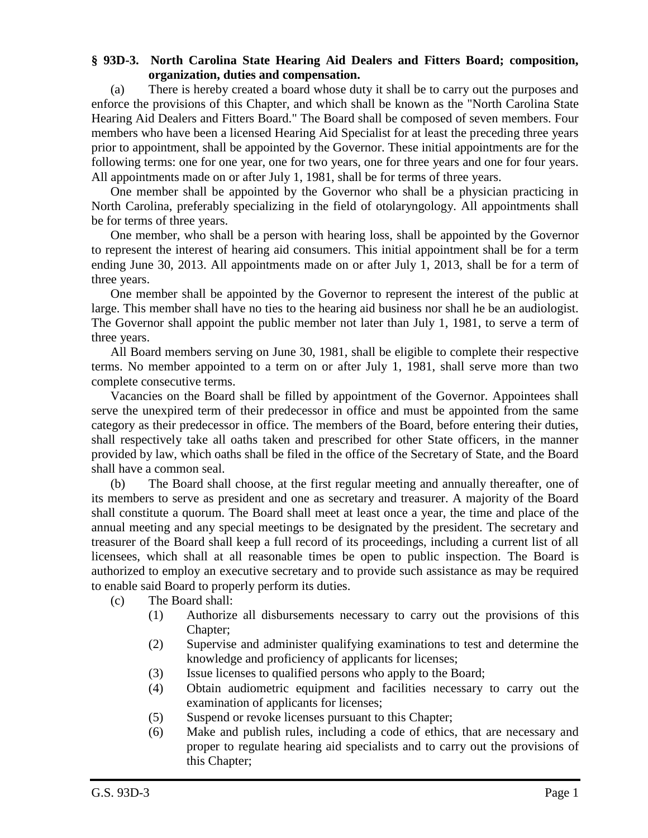## **§ 93D-3. North Carolina State Hearing Aid Dealers and Fitters Board; composition, organization, duties and compensation.**

(a) There is hereby created a board whose duty it shall be to carry out the purposes and enforce the provisions of this Chapter, and which shall be known as the "North Carolina State Hearing Aid Dealers and Fitters Board." The Board shall be composed of seven members. Four members who have been a licensed Hearing Aid Specialist for at least the preceding three years prior to appointment, shall be appointed by the Governor. These initial appointments are for the following terms: one for one year, one for two years, one for three years and one for four years. All appointments made on or after July 1, 1981, shall be for terms of three years.

One member shall be appointed by the Governor who shall be a physician practicing in North Carolina, preferably specializing in the field of otolaryngology. All appointments shall be for terms of three years.

One member, who shall be a person with hearing loss, shall be appointed by the Governor to represent the interest of hearing aid consumers. This initial appointment shall be for a term ending June 30, 2013. All appointments made on or after July 1, 2013, shall be for a term of three years.

One member shall be appointed by the Governor to represent the interest of the public at large. This member shall have no ties to the hearing aid business nor shall he be an audiologist. The Governor shall appoint the public member not later than July 1, 1981, to serve a term of three years.

All Board members serving on June 30, 1981, shall be eligible to complete their respective terms. No member appointed to a term on or after July 1, 1981, shall serve more than two complete consecutive terms.

Vacancies on the Board shall be filled by appointment of the Governor. Appointees shall serve the unexpired term of their predecessor in office and must be appointed from the same category as their predecessor in office. The members of the Board, before entering their duties, shall respectively take all oaths taken and prescribed for other State officers, in the manner provided by law, which oaths shall be filed in the office of the Secretary of State, and the Board shall have a common seal.

(b) The Board shall choose, at the first regular meeting and annually thereafter, one of its members to serve as president and one as secretary and treasurer. A majority of the Board shall constitute a quorum. The Board shall meet at least once a year, the time and place of the annual meeting and any special meetings to be designated by the president. The secretary and treasurer of the Board shall keep a full record of its proceedings, including a current list of all licensees, which shall at all reasonable times be open to public inspection. The Board is authorized to employ an executive secretary and to provide such assistance as may be required to enable said Board to properly perform its duties.

- (c) The Board shall:
	- (1) Authorize all disbursements necessary to carry out the provisions of this Chapter;
	- (2) Supervise and administer qualifying examinations to test and determine the knowledge and proficiency of applicants for licenses;
	- (3) Issue licenses to qualified persons who apply to the Board;
	- (4) Obtain audiometric equipment and facilities necessary to carry out the examination of applicants for licenses;
	- (5) Suspend or revoke licenses pursuant to this Chapter;
	- (6) Make and publish rules, including a code of ethics, that are necessary and proper to regulate hearing aid specialists and to carry out the provisions of this Chapter;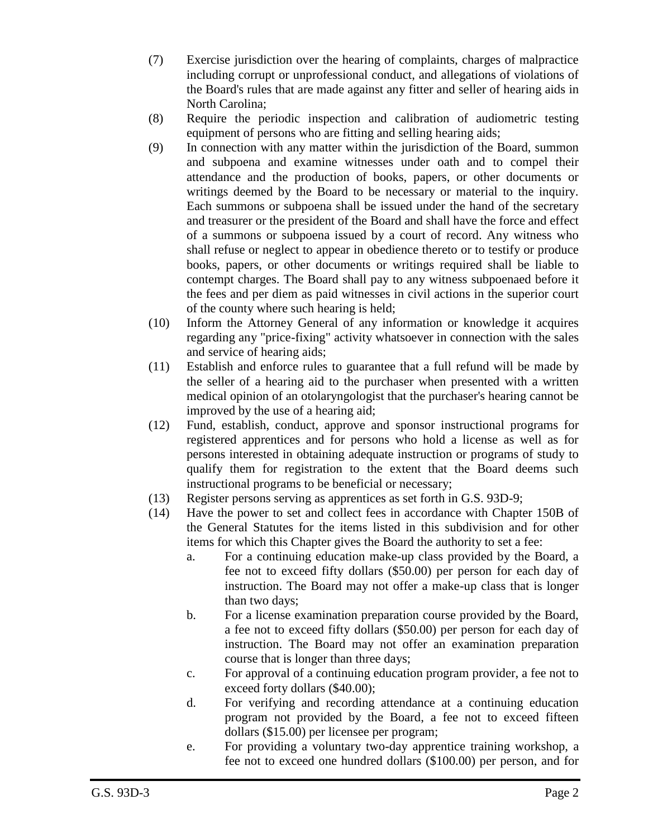- (7) Exercise jurisdiction over the hearing of complaints, charges of malpractice including corrupt or unprofessional conduct, and allegations of violations of the Board's rules that are made against any fitter and seller of hearing aids in North Carolina;
- (8) Require the periodic inspection and calibration of audiometric testing equipment of persons who are fitting and selling hearing aids;
- (9) In connection with any matter within the jurisdiction of the Board, summon and subpoena and examine witnesses under oath and to compel their attendance and the production of books, papers, or other documents or writings deemed by the Board to be necessary or material to the inquiry. Each summons or subpoena shall be issued under the hand of the secretary and treasurer or the president of the Board and shall have the force and effect of a summons or subpoena issued by a court of record. Any witness who shall refuse or neglect to appear in obedience thereto or to testify or produce books, papers, or other documents or writings required shall be liable to contempt charges. The Board shall pay to any witness subpoenaed before it the fees and per diem as paid witnesses in civil actions in the superior court of the county where such hearing is held;
- (10) Inform the Attorney General of any information or knowledge it acquires regarding any "price-fixing" activity whatsoever in connection with the sales and service of hearing aids;
- (11) Establish and enforce rules to guarantee that a full refund will be made by the seller of a hearing aid to the purchaser when presented with a written medical opinion of an otolaryngologist that the purchaser's hearing cannot be improved by the use of a hearing aid;
- (12) Fund, establish, conduct, approve and sponsor instructional programs for registered apprentices and for persons who hold a license as well as for persons interested in obtaining adequate instruction or programs of study to qualify them for registration to the extent that the Board deems such instructional programs to be beneficial or necessary;
- (13) Register persons serving as apprentices as set forth in G.S. 93D-9;
- (14) Have the power to set and collect fees in accordance with Chapter 150B of the General Statutes for the items listed in this subdivision and for other items for which this Chapter gives the Board the authority to set a fee:
	- a. For a continuing education make-up class provided by the Board, a fee not to exceed fifty dollars (\$50.00) per person for each day of instruction. The Board may not offer a make-up class that is longer than two days;
	- b. For a license examination preparation course provided by the Board, a fee not to exceed fifty dollars (\$50.00) per person for each day of instruction. The Board may not offer an examination preparation course that is longer than three days;
	- c. For approval of a continuing education program provider, a fee not to exceed forty dollars (\$40.00);
	- d. For verifying and recording attendance at a continuing education program not provided by the Board, a fee not to exceed fifteen dollars (\$15.00) per licensee per program;
	- e. For providing a voluntary two-day apprentice training workshop, a fee not to exceed one hundred dollars (\$100.00) per person, and for